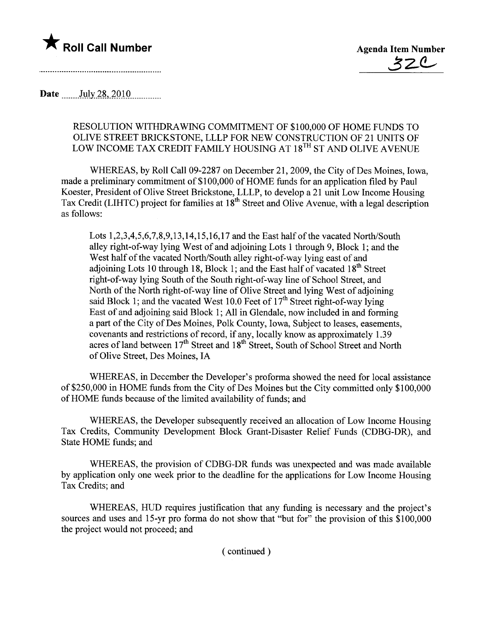

Date \_\_\_\_\_\_ July 28, 2010

## RESOLUTION WITHDRAWING COMMITMENT OF \$100,000 OF HOME FUNDS TO OLIVE STREET BRICKSTONE, LLLP FOR NEW CONSTRUCTION OF 21 UNITS OF LOW INCOME TAX CREDIT FAMILY HOUSING AT 18<sup>TH</sup> ST AND OLIVE AVENUE

WHEREAS, by Roll Call 09-2287 on December 21,2009, the City of Des Moines, Iowa, made a preliminary commitment of \$100,000 of HOME funds for an application filed by Paul Koester, President of Olive Street Brickstone, LLLP, to develop a 21 unit Low Income Housing Tax Credit (LIHTC) project for families at 18<sup>th</sup> Street and Olive Avenue, with a legal description as follows:

Lots 1,2,3,4,5,6,7,8,9,13,14,15,16,17 and the East half of the vacated North/South alley right-of-way lying West of and adjoining Lots 1 through 9, Block 1; and the West half of the vacated North/South alley right-of-way lying east of and adjoining Lots 10 through 18, Block 1; and the East half of vacated  $18<sup>th</sup>$  Street right-of-way lying South of the South right-of-way line of School Street, and North of the North right-of-way line of Olive Street and lying West of adjoining said Block 1; and the vacated West 10.0 Feet of  $17<sup>th</sup>$  Street right-of-way lying East of and adjoining said Block 1; All in Glendale, now included in and forming a part of the City of Des Moines, Polk County, Iowa, Subject to leases, easements, covenants and restrictions of record, if any, locally know as approximately 1.39 acres of land between  $17<sup>th</sup>$  Street and  $18<sup>th</sup>$  Street, South of School Street and North of Olive Street, Des Moines, IA

WHEREAS, in December the Developer's proforma showed the need for local assistance of \$250,000 in HOME funds from the City of Des Moines but the City committed only \$ 1 00,000 of HOME funds because of the limited availability of funds; and

WHEREAS, the Developer subsequently received an allocation of Low Income Housing Tax Credits, Community Development Block Grant-Disaster Relief Funds (CDBG-DR), and State HOME funds; and

WHEREAS, the provision of CDBG-DR funds was unexpected and was made available by application only one week prior to the deadline for the applications for Low Income Housing Tax Credits; and

WHEREAS, HUD requires justification that any funding is necessary and the project's sources and uses and 15-yr pro forma do not show that "but for" the provision of this \$100,000 the project would not proceed; and

( continued)